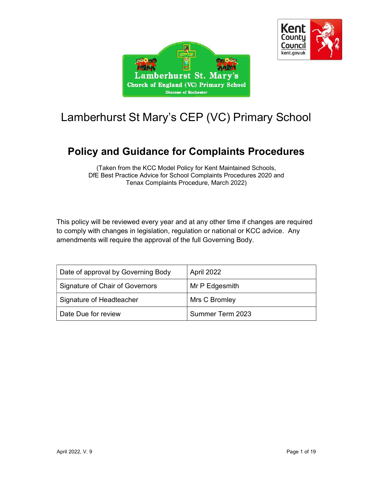



# Lamberhurst St Mary's CEP (VC) Primary School

# Policy and Guidance for Complaints Procedures

(Taken from the KCC Model Policy for Kent Maintained Schools, DfE Best Practice Advice for School Complaints Procedures 2020 and Tenax Complaints Procedure, March 2022)

This policy will be reviewed every year and at any other time if changes are required to comply with changes in legislation, regulation or national or KCC advice. Any amendments will require the approval of the full Governing Body.

| Date of approval by Governing Body | April 2022       |
|------------------------------------|------------------|
| Signature of Chair of Governors    | Mr P Edgesmith   |
| Signature of Headteacher           | Mrs C Bromley    |
| Date Due for review                | Summer Term 2023 |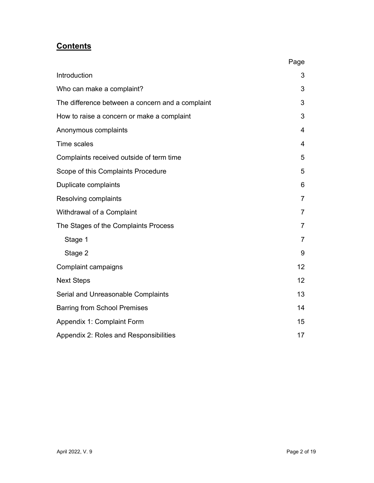# **Contents**

|                                                  | Page           |
|--------------------------------------------------|----------------|
| Introduction                                     | 3              |
| Who can make a complaint?                        | 3              |
| The difference between a concern and a complaint | 3              |
| How to raise a concern or make a complaint       | 3              |
| Anonymous complaints                             | $\overline{4}$ |
| <b>Time scales</b>                               | 4              |
| Complaints received outside of term time         | 5              |
| Scope of this Complaints Procedure               | 5              |
| Duplicate complaints                             | 6              |
| Resolving complaints                             | 7              |
| Withdrawal of a Complaint                        | $\overline{7}$ |
| The Stages of the Complaints Process             | 7              |
| Stage 1                                          | $\overline{7}$ |
| Stage 2                                          | 9              |
| Complaint campaigns                              | 12             |
| <b>Next Steps</b>                                | 12             |
| Serial and Unreasonable Complaints               | 13             |
| <b>Barring from School Premises</b>              | 14             |
| Appendix 1: Complaint Form                       | 15             |
| Appendix 2: Roles and Responsibilities           | 17             |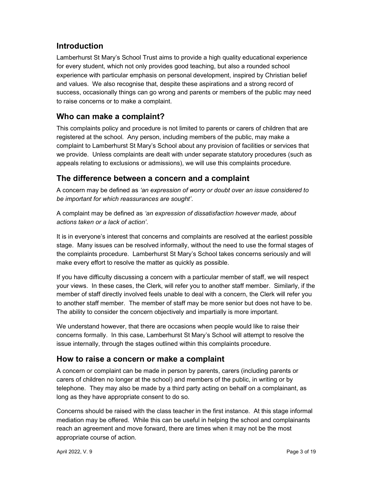### Introduction

Lamberhurst St Mary's School Trust aims to provide a high quality educational experience for every student, which not only provides good teaching, but also a rounded school experience with particular emphasis on personal development, inspired by Christian belief and values. We also recognise that, despite these aspirations and a strong record of success, occasionally things can go wrong and parents or members of the public may need to raise concerns or to make a complaint.

# Who can make a complaint?

This complaints policy and procedure is not limited to parents or carers of children that are registered at the school. Any person, including members of the public, may make a complaint to Lamberhurst St Mary's School about any provision of facilities or services that we provide. Unless complaints are dealt with under separate statutory procedures (such as appeals relating to exclusions or admissions), we will use this complaints procedure.

# The difference between a concern and a complaint

A concern may be defined as 'an expression of worry or doubt over an issue considered to be important for which reassurances are sought'.

A complaint may be defined as 'an expression of dissatisfaction however made, about actions taken or a lack of action'.

It is in everyone's interest that concerns and complaints are resolved at the earliest possible stage. Many issues can be resolved informally, without the need to use the formal stages of the complaints procedure. Lamberhurst St Mary's School takes concerns seriously and will make every effort to resolve the matter as quickly as possible.

If you have difficulty discussing a concern with a particular member of staff, we will respect your views. In these cases, the Clerk, will refer you to another staff member. Similarly, if the member of staff directly involved feels unable to deal with a concern, the Clerk will refer you to another staff member. The member of staff may be more senior but does not have to be. The ability to consider the concern objectively and impartially is more important.

We understand however, that there are occasions when people would like to raise their concerns formally. In this case, Lamberhurst St Mary's School will attempt to resolve the issue internally, through the stages outlined within this complaints procedure.

### How to raise a concern or make a complaint

A concern or complaint can be made in person by parents, carers (including parents or carers of children no longer at the school) and members of the public, in writing or by telephone. They may also be made by a third party acting on behalf on a complainant, as long as they have appropriate consent to do so.

Concerns should be raised with the class teacher in the first instance. At this stage informal mediation may be offered. While this can be useful in helping the school and complainants reach an agreement and move forward, there are times when it may not be the most appropriate course of action.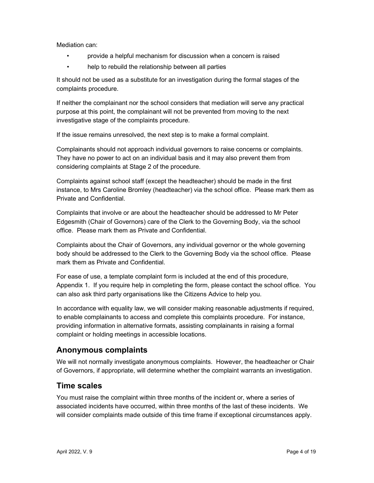Mediation can:

- provide a helpful mechanism for discussion when a concern is raised
- help to rebuild the relationship between all parties

It should not be used as a substitute for an investigation during the formal stages of the complaints procedure.

If neither the complainant nor the school considers that mediation will serve any practical purpose at this point, the complainant will not be prevented from moving to the next investigative stage of the complaints procedure.

If the issue remains unresolved, the next step is to make a formal complaint.

Complainants should not approach individual governors to raise concerns or complaints. They have no power to act on an individual basis and it may also prevent them from considering complaints at Stage 2 of the procedure.

Complaints against school staff (except the headteacher) should be made in the first instance, to Mrs Caroline Bromley (headteacher) via the school office. Please mark them as Private and Confidential.

Complaints that involve or are about the headteacher should be addressed to Mr Peter Edgesmith (Chair of Governors) care of the Clerk to the Governing Body, via the school office. Please mark them as Private and Confidential.

Complaints about the Chair of Governors, any individual governor or the whole governing body should be addressed to the Clerk to the Governing Body via the school office. Please mark them as Private and Confidential.

For ease of use, a template complaint form is included at the end of this procedure, Appendix 1. If you require help in completing the form, please contact the school office. You can also ask third party organisations like the Citizens Advice to help you.

In accordance with equality law, we will consider making reasonable adjustments if required, to enable complainants to access and complete this complaints procedure. For instance, providing information in alternative formats, assisting complainants in raising a formal complaint or holding meetings in accessible locations.

### Anonymous complaints

We will not normally investigate anonymous complaints. However, the headteacher or Chair of Governors, if appropriate, will determine whether the complaint warrants an investigation.

### Time scales

You must raise the complaint within three months of the incident or, where a series of associated incidents have occurred, within three months of the last of these incidents. We will consider complaints made outside of this time frame if exceptional circumstances apply.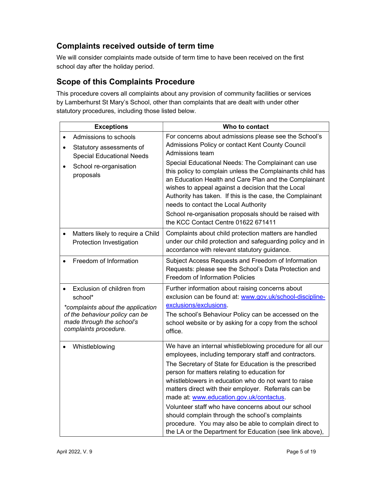# Complaints received outside of term time

We will consider complaints made outside of term time to have been received on the first school day after the holiday period.

# Scope of this Complaints Procedure

This procedure covers all complaints about any provision of community facilities or services by Lamberhurst St Mary's School, other than complaints that are dealt with under other statutory procedures, including those listed below.

| <b>Exceptions</b>                                                                                                                                                  | Who to contact                                                                                                                                                                                                                                                                                                                                                                                                                                                                                                                                                                                                        |  |  |
|--------------------------------------------------------------------------------------------------------------------------------------------------------------------|-----------------------------------------------------------------------------------------------------------------------------------------------------------------------------------------------------------------------------------------------------------------------------------------------------------------------------------------------------------------------------------------------------------------------------------------------------------------------------------------------------------------------------------------------------------------------------------------------------------------------|--|--|
| Admissions to schools<br>Statutory assessments of<br><b>Special Educational Needs</b><br>School re-organisation<br>proposals                                       | For concerns about admissions please see the School's<br>Admissions Policy or contact Kent County Council<br>Admissions team<br>Special Educational Needs: The Complainant can use<br>this policy to complain unless the Complainants child has<br>an Education Health and Care Plan and the Complainant<br>wishes to appeal against a decision that the Local<br>Authority has taken. If this is the case, the Complainant<br>needs to contact the Local Authority<br>School re-organisation proposals should be raised with<br>the KCC Contact Centre 01622 671411                                                  |  |  |
| Matters likely to require a Child<br>Protection Investigation                                                                                                      | Complaints about child protection matters are handled<br>under our child protection and safeguarding policy and in<br>accordance with relevant statutory guidance.                                                                                                                                                                                                                                                                                                                                                                                                                                                    |  |  |
| Freedom of Information                                                                                                                                             | Subject Access Requests and Freedom of Information<br>Requests: please see the School's Data Protection and<br><b>Freedom of Information Policies</b>                                                                                                                                                                                                                                                                                                                                                                                                                                                                 |  |  |
| Exclusion of children from<br>school*<br>*complaints about the application<br>of the behaviour policy can be<br>made through the school's<br>complaints procedure. | Further information about raising concerns about<br>exclusion can be found at: www.gov.uk/school-discipline-<br>exclusions/exclusions.<br>The school's Behaviour Policy can be accessed on the<br>school website or by asking for a copy from the school<br>office.                                                                                                                                                                                                                                                                                                                                                   |  |  |
| Whistleblowing                                                                                                                                                     | We have an internal whistleblowing procedure for all our<br>employees, including temporary staff and contractors.<br>The Secretary of State for Education is the prescribed<br>person for matters relating to education for<br>whistleblowers in education who do not want to raise<br>matters direct with their employer. Referrals can be<br>made at: www.education.gov.uk/contactus.<br>Volunteer staff who have concerns about our school<br>should complain through the school's complaints<br>procedure. You may also be able to complain direct to<br>the LA or the Department for Education (see link above), |  |  |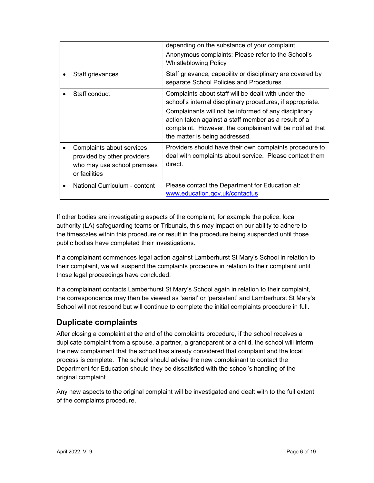|                                                                                                          | depending on the substance of your complaint.<br>Anonymous complaints: Please refer to the School's<br><b>Whistleblowing Policy</b>                                                                                                                                                                                               |
|----------------------------------------------------------------------------------------------------------|-----------------------------------------------------------------------------------------------------------------------------------------------------------------------------------------------------------------------------------------------------------------------------------------------------------------------------------|
| Staff grievances                                                                                         | Staff grievance, capability or disciplinary are covered by<br>separate School Policies and Procedures                                                                                                                                                                                                                             |
| Staff conduct                                                                                            | Complaints about staff will be dealt with under the<br>school's internal disciplinary procedures, if appropriate.<br>Complainants will not be informed of any disciplinary<br>action taken against a staff member as a result of a<br>complaint. However, the complainant will be notified that<br>the matter is being addressed. |
| Complaints about services<br>provided by other providers<br>who may use school premises<br>or facilities | Providers should have their own complaints procedure to<br>deal with complaints about service. Please contact them<br>direct.                                                                                                                                                                                                     |
| National Curriculum - content                                                                            | Please contact the Department for Education at:<br>www.education.gov.uk/contactus                                                                                                                                                                                                                                                 |

If other bodies are investigating aspects of the complaint, for example the police, local authority (LA) safeguarding teams or Tribunals, this may impact on our ability to adhere to the timescales within this procedure or result in the procedure being suspended until those public bodies have completed their investigations.

If a complainant commences legal action against Lamberhurst St Mary's School in relation to their complaint, we will suspend the complaints procedure in relation to their complaint until those legal proceedings have concluded.

If a complainant contacts Lamberhurst St Mary's School again in relation to their complaint, the correspondence may then be viewed as 'serial' or 'persistent' and Lamberhurst St Mary's School will not respond but will continue to complete the initial complaints procedure in full.

# Duplicate complaints

After closing a complaint at the end of the complaints procedure, if the school receives a duplicate complaint from a spouse, a partner, a grandparent or a child, the school will inform the new complainant that the school has already considered that complaint and the local process is complete. The school should advise the new complainant to contact the Department for Education should they be dissatisfied with the school's handling of the original complaint.

Any new aspects to the original complaint will be investigated and dealt with to the full extent of the complaints procedure.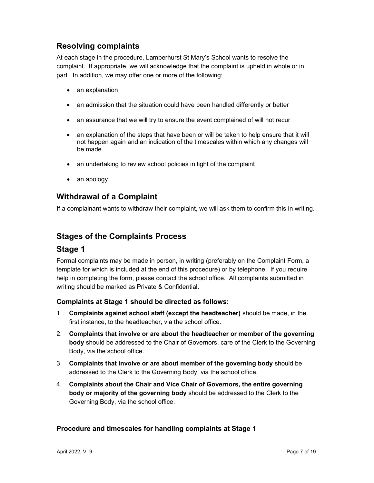# Resolving complaints

At each stage in the procedure, Lamberhurst St Mary's School wants to resolve the complaint. If appropriate, we will acknowledge that the complaint is upheld in whole or in part. In addition, we may offer one or more of the following:

- an explanation
- an admission that the situation could have been handled differently or better
- an assurance that we will try to ensure the event complained of will not recur
- an explanation of the steps that have been or will be taken to help ensure that it will not happen again and an indication of the timescales within which any changes will be made
- an undertaking to review school policies in light of the complaint
- an apology.

### Withdrawal of a Complaint

If a complainant wants to withdraw their complaint, we will ask them to confirm this in writing.

#### Stages of the Complaints Process

#### Stage 1

Formal complaints may be made in person, in writing (preferably on the Complaint Form, a template for which is included at the end of this procedure) or by telephone. If you require help in completing the form, please contact the school office. All complaints submitted in writing should be marked as Private & Confidential.

#### Complaints at Stage 1 should be directed as follows:

- 1. Complaints against school staff (except the headteacher) should be made, in the first instance, to the headteacher, via the school office.
- 2. Complaints that involve or are about the headteacher or member of the governing body should be addressed to the Chair of Governors, care of the Clerk to the Governing Body, via the school office.
- 3. Complaints that involve or are about member of the governing body should be addressed to the Clerk to the Governing Body, via the school office.
- 4. Complaints about the Chair and Vice Chair of Governors, the entire governing body or majority of the governing body should be addressed to the Clerk to the Governing Body, via the school office.

#### Procedure and timescales for handling complaints at Stage 1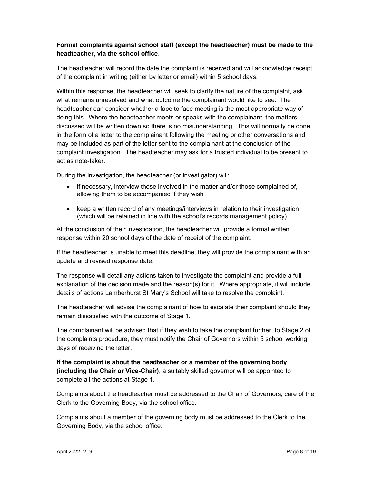#### Formal complaints against school staff (except the headteacher) must be made to the headteacher, via the school office.

The headteacher will record the date the complaint is received and will acknowledge receipt of the complaint in writing (either by letter or email) within 5 school days.

Within this response, the headteacher will seek to clarify the nature of the complaint, ask what remains unresolved and what outcome the complainant would like to see. The headteacher can consider whether a face to face meeting is the most appropriate way of doing this. Where the headteacher meets or speaks with the complainant, the matters discussed will be written down so there is no misunderstanding. This will normally be done in the form of a letter to the complainant following the meeting or other conversations and may be included as part of the letter sent to the complainant at the conclusion of the complaint investigation. The headteacher may ask for a trusted individual to be present to act as note-taker.

During the investigation, the headteacher (or investigator) will:

- if necessary, interview those involved in the matter and/or those complained of, allowing them to be accompanied if they wish
- keep a written record of any meetings/interviews in relation to their investigation (which will be retained in line with the school's records management policy).

At the conclusion of their investigation, the headteacher will provide a formal written response within 20 school days of the date of receipt of the complaint.

If the headteacher is unable to meet this deadline, they will provide the complainant with an update and revised response date.

The response will detail any actions taken to investigate the complaint and provide a full explanation of the decision made and the reason(s) for it. Where appropriate, it will include details of actions Lamberhurst St Mary's School will take to resolve the complaint.

The headteacher will advise the complainant of how to escalate their complaint should they remain dissatisfied with the outcome of Stage 1.

The complainant will be advised that if they wish to take the complaint further, to Stage 2 of the complaints procedure, they must notify the Chair of Governors within 5 school working days of receiving the letter.

If the complaint is about the headteacher or a member of the governing body (including the Chair or Vice-Chair), a suitably skilled governor will be appointed to complete all the actions at Stage 1.

Complaints about the headteacher must be addressed to the Chair of Governors, care of the Clerk to the Governing Body, via the school office.

Complaints about a member of the governing body must be addressed to the Clerk to the Governing Body, via the school office.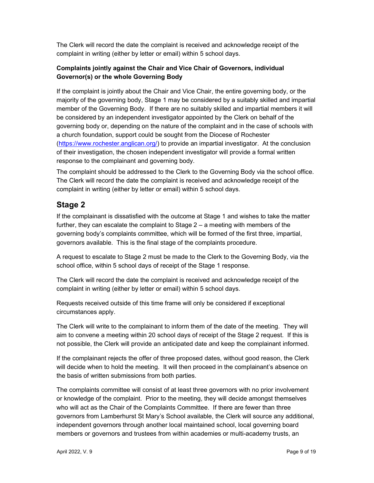The Clerk will record the date the complaint is received and acknowledge receipt of the complaint in writing (either by letter or email) within 5 school days.

#### Complaints jointly against the Chair and Vice Chair of Governors, individual Governor(s) or the whole Governing Body

If the complaint is jointly about the Chair and Vice Chair, the entire governing body, or the majority of the governing body, Stage 1 may be considered by a suitably skilled and impartial member of the Governing Body. If there are no suitably skilled and impartial members it will be considered by an independent investigator appointed by the Clerk on behalf of the governing body or, depending on the nature of the complaint and in the case of schools with a church foundation, support could be sought from the Diocese of Rochester (https://www.rochester.anglican.org/) to provide an impartial investigator. At the conclusion of their investigation, the chosen independent investigator will provide a formal written response to the complainant and governing body.

The complaint should be addressed to the Clerk to the Governing Body via the school office. The Clerk will record the date the complaint is received and acknowledge receipt of the complaint in writing (either by letter or email) within 5 school days.

# Stage 2

If the complainant is dissatisfied with the outcome at Stage 1 and wishes to take the matter further, they can escalate the complaint to Stage 2 – a meeting with members of the governing body's complaints committee, which will be formed of the first three, impartial, governors available. This is the final stage of the complaints procedure.

A request to escalate to Stage 2 must be made to the Clerk to the Governing Body, via the school office, within 5 school days of receipt of the Stage 1 response.

The Clerk will record the date the complaint is received and acknowledge receipt of the complaint in writing (either by letter or email) within 5 school days.

Requests received outside of this time frame will only be considered if exceptional circumstances apply.

The Clerk will write to the complainant to inform them of the date of the meeting. They will aim to convene a meeting within 20 school days of receipt of the Stage 2 request. If this is not possible, the Clerk will provide an anticipated date and keep the complainant informed.

If the complainant rejects the offer of three proposed dates, without good reason, the Clerk will decide when to hold the meeting. It will then proceed in the complainant's absence on the basis of written submissions from both parties.

The complaints committee will consist of at least three governors with no prior involvement or knowledge of the complaint. Prior to the meeting, they will decide amongst themselves who will act as the Chair of the Complaints Committee. If there are fewer than three governors from Lamberhurst St Mary's School available, the Clerk will source any additional, independent governors through another local maintained school, local governing board members or governors and trustees from within academies or multi-academy trusts, an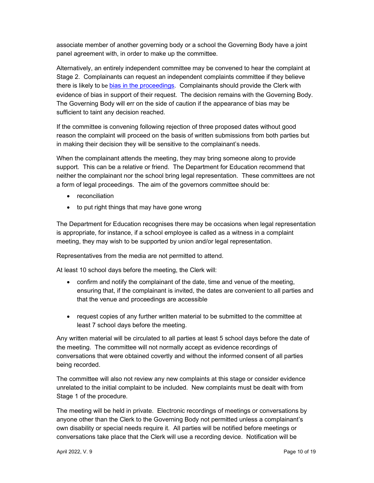associate member of another governing body or a school the Governing Body have a joint panel agreement with, in order to make up the committee.

Alternatively, an entirely independent committee may be convened to hear the complaint at Stage 2. Complainants can request an independent complaints committee if they believe there is likely to be bias in the proceedings. Complainants should provide the Clerk with evidence of bias in support of their request. The decision remains with the Governing Body. The Governing Body will err on the side of caution if the appearance of bias may be sufficient to taint any decision reached.

If the committee is convening following rejection of three proposed dates without good reason the complaint will proceed on the basis of written submissions from both parties but in making their decision they will be sensitive to the complainant's needs.

When the complainant attends the meeting, they may bring someone along to provide support. This can be a relative or friend. The Department for Education recommend that neither the complainant nor the school bring legal representation. These committees are not a form of legal proceedings. The aim of the governors committee should be:

- reconciliation
- to put right things that may have gone wrong

The Department for Education recognises there may be occasions when legal representation is appropriate, for instance, if a school employee is called as a witness in a complaint meeting, they may wish to be supported by union and/or legal representation.

Representatives from the media are not permitted to attend.

At least 10 school days before the meeting, the Clerk will:

- confirm and notify the complainant of the date, time and venue of the meeting, ensuring that, if the complainant is invited, the dates are convenient to all parties and that the venue and proceedings are accessible
- request copies of any further written material to be submitted to the committee at least 7 school days before the meeting.

Any written material will be circulated to all parties at least 5 school days before the date of the meeting. The committee will not normally accept as evidence recordings of conversations that were obtained covertly and without the informed consent of all parties being recorded.

The committee will also not review any new complaints at this stage or consider evidence unrelated to the initial complaint to be included. New complaints must be dealt with from Stage 1 of the procedure.

The meeting will be held in private. Electronic recordings of meetings or conversations by anyone other than the Clerk to the Governing Body not permitted unless a complainant's own disability or special needs require it. All parties will be notified before meetings or conversations take place that the Clerk will use a recording device. Notification will be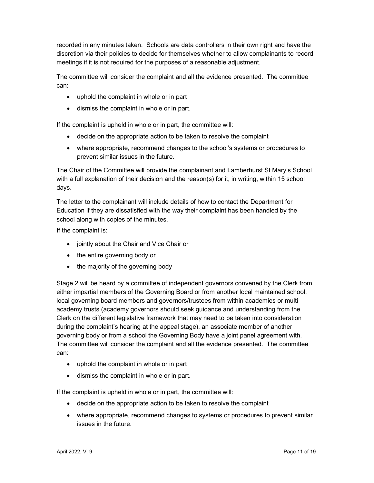recorded in any minutes taken. Schools are data controllers in their own right and have the discretion via their policies to decide for themselves whether to allow complainants to record meetings if it is not required for the purposes of a reasonable adjustment.

The committee will consider the complaint and all the evidence presented. The committee can:

- uphold the complaint in whole or in part
- dismiss the complaint in whole or in part.

If the complaint is upheld in whole or in part, the committee will:

- decide on the appropriate action to be taken to resolve the complaint
- where appropriate, recommend changes to the school's systems or procedures to prevent similar issues in the future.

The Chair of the Committee will provide the complainant and Lamberhurst St Mary's School with a full explanation of their decision and the reason(s) for it, in writing, within 15 school days.

The letter to the complainant will include details of how to contact the Department for Education if they are dissatisfied with the way their complaint has been handled by the school along with copies of the minutes.

If the complaint is:

- jointly about the Chair and Vice Chair or
- the entire governing body or
- the majority of the governing body

Stage 2 will be heard by a committee of independent governors convened by the Clerk from either impartial members of the Governing Board or from another local maintained school, local governing board members and governors/trustees from within academies or multi academy trusts (academy governors should seek guidance and understanding from the Clerk on the different legislative framework that may need to be taken into consideration during the complaint's hearing at the appeal stage), an associate member of another governing body or from a school the Governing Body have a joint panel agreement with. The committee will consider the complaint and all the evidence presented. The committee can:

- uphold the complaint in whole or in part
- dismiss the complaint in whole or in part.

If the complaint is upheld in whole or in part, the committee will:

- decide on the appropriate action to be taken to resolve the complaint
- where appropriate, recommend changes to systems or procedures to prevent similar issues in the future.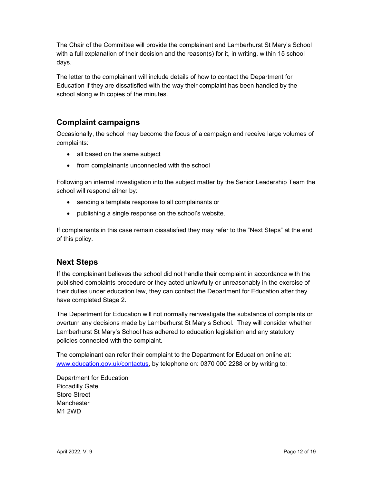The Chair of the Committee will provide the complainant and Lamberhurst St Mary's School with a full explanation of their decision and the reason(s) for it, in writing, within 15 school days.

The letter to the complainant will include details of how to contact the Department for Education if they are dissatisfied with the way their complaint has been handled by the school along with copies of the minutes.

# Complaint campaigns

Occasionally, the school may become the focus of a campaign and receive large volumes of complaints:

- all based on the same subject
- from complainants unconnected with the school

Following an internal investigation into the subject matter by the Senior Leadership Team the school will respond either by:

- sending a template response to all complainants or
- publishing a single response on the school's website.

If complainants in this case remain dissatisfied they may refer to the "Next Steps" at the end of this policy.

# Next Steps

If the complainant believes the school did not handle their complaint in accordance with the published complaints procedure or they acted unlawfully or unreasonably in the exercise of their duties under education law, they can contact the Department for Education after they have completed Stage 2.

The Department for Education will not normally reinvestigate the substance of complaints or overturn any decisions made by Lamberhurst St Mary's School. They will consider whether Lamberhurst St Mary's School has adhered to education legislation and any statutory policies connected with the complaint.

The complainant can refer their complaint to the Department for Education online at: www.education.gov.uk/contactus, by telephone on: 0370 000 2288 or by writing to:

Department for Education Piccadilly Gate Store Street Manchester M1 2WD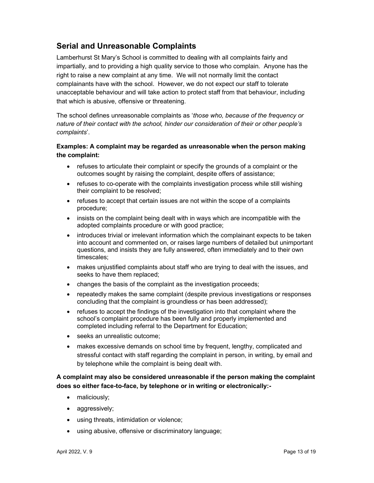# Serial and Unreasonable Complaints

Lamberhurst St Mary's School is committed to dealing with all complaints fairly and impartially, and to providing a high quality service to those who complain. Anyone has the right to raise a new complaint at any time. We will not normally limit the contact complainants have with the school. However, we do not expect our staff to tolerate unacceptable behaviour and will take action to protect staff from that behaviour, including that which is abusive, offensive or threatening.

The school defines unreasonable complaints as 'those who, because of the frequency or nature of their contact with the school, hinder our consideration of their or other people's complaints'.

#### Examples: A complaint may be regarded as unreasonable when the person making the complaint:

- refuses to articulate their complaint or specify the grounds of a complaint or the outcomes sought by raising the complaint, despite offers of assistance;
- refuses to co-operate with the complaints investigation process while still wishing their complaint to be resolved;
- refuses to accept that certain issues are not within the scope of a complaints procedure;
- insists on the complaint being dealt with in ways which are incompatible with the adopted complaints procedure or with good practice;
- introduces trivial or irrelevant information which the complainant expects to be taken into account and commented on, or raises large numbers of detailed but unimportant questions, and insists they are fully answered, often immediately and to their own timescales;
- makes unjustified complaints about staff who are trying to deal with the issues, and seeks to have them replaced;
- changes the basis of the complaint as the investigation proceeds;
- repeatedly makes the same complaint (despite previous investigations or responses concluding that the complaint is groundless or has been addressed);
- refuses to accept the findings of the investigation into that complaint where the school's complaint procedure has been fully and properly implemented and completed including referral to the Department for Education;
- seeks an unrealistic outcome;
- makes excessive demands on school time by frequent, lengthy, complicated and stressful contact with staff regarding the complaint in person, in writing, by email and by telephone while the complaint is being dealt with.

#### A complaint may also be considered unreasonable if the person making the complaint does so either face-to-face, by telephone or in writing or electronically:-

- maliciously;
- aggressively;
- using threats, intimidation or violence;
- using abusive, offensive or discriminatory language;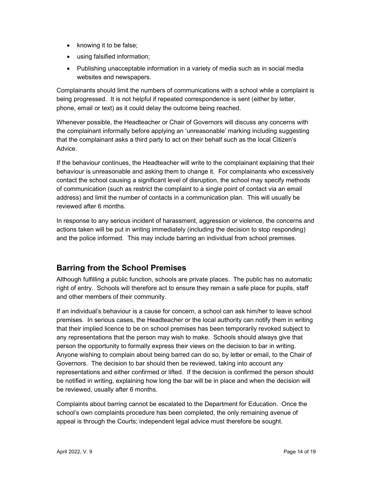- knowing it to be false;
- using falsified information;
- Publishing unacceptable information in a variety of media such as in social media websites and newspapers.

Complainants should limit the numbers of communications with a school while a complaint is being progressed. It is not helpful if repeated correspondence is sent (either by letter, phone, email or text) as it could delay the outcome being reached.

Whenever possible, the Headteacher or Chair of Governors will discuss any concerns with the complainant informally before applying an 'unreasonable' marking including suggesting that the complainant asks a third party to act on their behalf such as the local Citizen's Advice.

If the behaviour continues, the Headteacher will write to the complainant explaining that their behaviour is unreasonable and asking them to change it. For complainants who excessively contact the school causing a significant level of disruption, the school may specify methods of communication (such as restrict the complaint to a single point of contact via an email address) and limit the number of contacts in a communication plan. This will usually be reviewed after 6 months.

In response to any serious incident of harassment, aggression or violence, the concerns and actions taken will be put in writing immediately (including the decision to stop responding) and the police informed. This may include barring an individual from school premises.

# Barring from the School Premises

Although fulfilling a public function, schools are private places. The public has no automatic right of entry. Schools will therefore act to ensure they remain a safe place for pupils, staff and other members of their community.

If an individual's behaviour is a cause for concern, a school can ask him/her to leave school premises. In serious cases, the Headteacher or the local authority can notify them in writing that their implied licence to be on school premises has been temporarily revoked subject to any representations that the person may wish to make. Schools should always give that person the opportunity to formally express their views on the decision to bar in writing. Anyone wishing to complain about being barred can do so, by letter or email, to the Chair of Governors. The decision to bar should then be reviewed, taking into account any representations and either confirmed or lifted. If the decision is confirmed the person should be notified in writing, explaining how long the bar will be in place and when the decision will be reviewed, usually after 6 months.

Complaints about barring cannot be escalated to the Department for Education. Once the school's own complaints procedure has been completed, the only remaining avenue of appeal is through the Courts; independent legal advice must therefore be sought.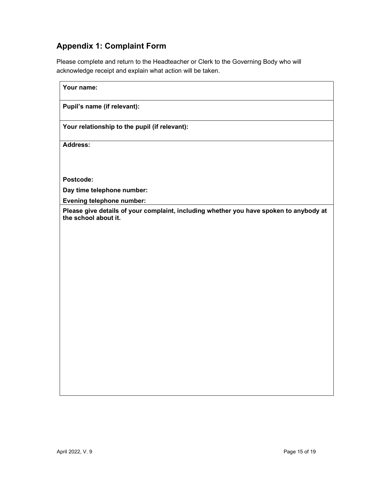# Appendix 1: Complaint Form

Please complete and return to the Headteacher or Clerk to the Governing Body who will acknowledge receipt and explain what action will be taken.

| Your name:                                                                                                     |
|----------------------------------------------------------------------------------------------------------------|
| Pupil's name (if relevant):                                                                                    |
| Your relationship to the pupil (if relevant):                                                                  |
| Address:                                                                                                       |
|                                                                                                                |
| Postcode:                                                                                                      |
| Day time telephone number:                                                                                     |
| <b>Evening telephone number:</b>                                                                               |
| Please give details of your complaint, including whether you have spoken to anybody at<br>the school about it. |
|                                                                                                                |
|                                                                                                                |
|                                                                                                                |
|                                                                                                                |
|                                                                                                                |
|                                                                                                                |
|                                                                                                                |
|                                                                                                                |
|                                                                                                                |
|                                                                                                                |
|                                                                                                                |
|                                                                                                                |
|                                                                                                                |
|                                                                                                                |
|                                                                                                                |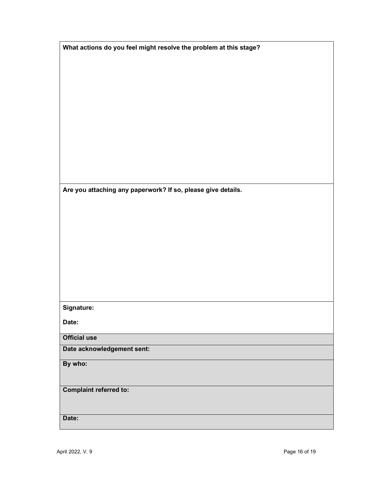| What actions do you feel might resolve the problem at this stage? |  |  |
|-------------------------------------------------------------------|--|--|
|                                                                   |  |  |

Are you attaching any paperwork? If so, please give details.

Signature:

Date:

Official use

Date acknowledgement sent:

By who:

Complaint referred to:

Date: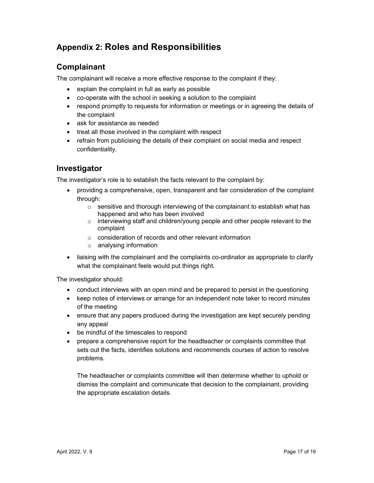# Appendix 2: Roles and Responsibilities

# Complainant

The complainant will receive a more effective response to the complaint if they:

- explain the complaint in full as early as possible
- co-operate with the school in seeking a solution to the complaint
- respond promptly to requests for information or meetings or in agreeing the details of the complaint
- ask for assistance as needed
- treat all those involved in the complaint with respect
- refrain from publicising the details of their complaint on social media and respect confidentiality.

### Investigator

The investigator's role is to establish the facts relevant to the complaint by:

- providing a comprehensive, open, transparent and fair consideration of the complaint through:
	- $\circ$  sensitive and thorough interviewing of the complainant to establish what has happened and who has been involved
	- o interviewing staff and children/young people and other people relevant to the complaint
	- o consideration of records and other relevant information
	- o analysing information
- liaising with the complainant and the complaints co-ordinator as appropriate to clarify what the complainant feels would put things right.

The investigator should:

- conduct interviews with an open mind and be prepared to persist in the questioning
- keep notes of interviews or arrange for an independent note taker to record minutes of the meeting
- ensure that any papers produced during the investigation are kept securely pending any appeal
- be mindful of the timescales to respond
- prepare a comprehensive report for the headteacher or complaints committee that sets out the facts, identifies solutions and recommends courses of action to resolve problems.

The headteacher or complaints committee will then determine whether to uphold or dismiss the complaint and communicate that decision to the complainant, providing the appropriate escalation details.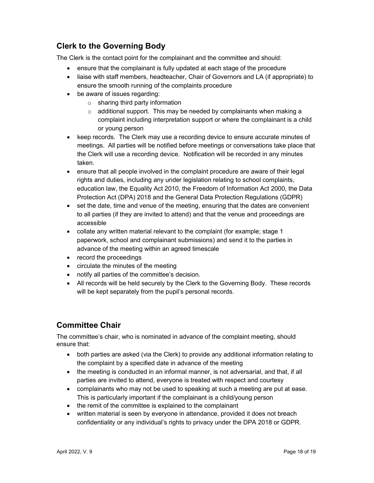# Clerk to the Governing Body

The Clerk is the contact point for the complainant and the committee and should:

- ensure that the complainant is fully updated at each stage of the procedure
- liaise with staff members, headteacher, Chair of Governors and LA (if appropriate) to ensure the smooth running of the complaints procedure
- be aware of issues regarding:
	- $\circ$  sharing third party information
	- $\circ$  additional support. This may be needed by complainants when making a complaint including interpretation support or where the complainant is a child or young person
- keep records. The Clerk may use a recording device to ensure accurate minutes of meetings. All parties will be notified before meetings or conversations take place that the Clerk will use a recording device. Notification will be recorded in any minutes taken.
- ensure that all people involved in the complaint procedure are aware of their legal rights and duties, including any under legislation relating to school complaints, education law, the Equality Act 2010, the Freedom of Information Act 2000, the Data Protection Act (DPA) 2018 and the General Data Protection Regulations (GDPR)
- set the date, time and venue of the meeting, ensuring that the dates are convenient to all parties (if they are invited to attend) and that the venue and proceedings are accessible
- collate any written material relevant to the complaint (for example; stage 1 paperwork, school and complainant submissions) and send it to the parties in advance of the meeting within an agreed timescale
- record the proceedings
- circulate the minutes of the meeting
- notify all parties of the committee's decision.
- All records will be held securely by the Clerk to the Governing Body. These records will be kept separately from the pupil's personal records.

# Committee Chair

The committee's chair, who is nominated in advance of the complaint meeting, should ensure that:

- both parties are asked (via the Clerk) to provide any additional information relating to the complaint by a specified date in advance of the meeting
- the meeting is conducted in an informal manner, is not adversarial, and that, if all parties are invited to attend, everyone is treated with respect and courtesy
- complainants who may not be used to speaking at such a meeting are put at ease. This is particularly important if the complainant is a child/young person
- the remit of the committee is explained to the complainant
- written material is seen by everyone in attendance, provided it does not breach confidentiality or any individual's rights to privacy under the DPA 2018 or GDPR.